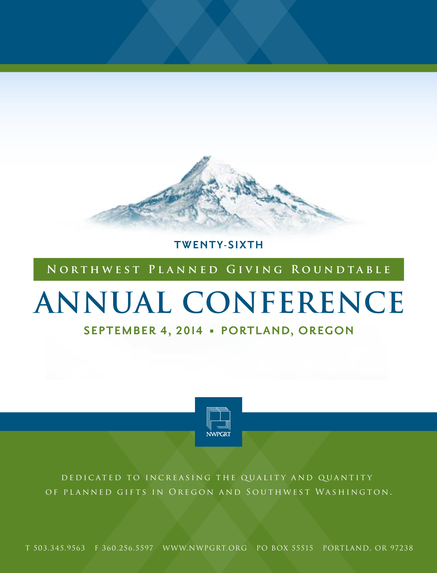

**TWENTY-SIXTH** 

### **Northwest Planned Giving Roundtable**

# **ANNUAL CONFERENCE**

### **SEPTEMBER 4, 2014 • PORTLAND, OREGON**



DEDICATED TO INCREASING THE QUALITY AND QUANTITY OF PLANNED GIFTS IN OREGON AND SOUTHWEST WASHINGTON.

T 503.345.9563 F 360.256.5597 www.nwpgrt.org PO BOX 55515 PORTLAND, OR 97238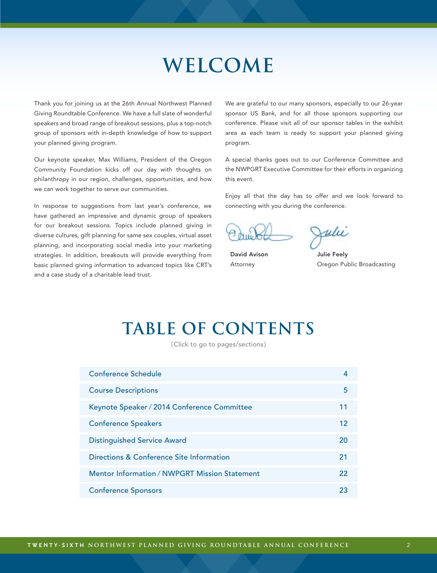### **Welcome**

<span id="page-1-0"></span>Thank you for joining us at the 26th Annual Northwest Planned Giving Roundtable Conference. We have a full slate of wonderful speakers and broad range of breakout sessions, plus a top-notch group of sponsors with in-depth knowledge of how to support your planned giving program.

Our keynote speaker, Max Williams, President of the Oregon Community Foundation kicks off our day with thoughts on philanthropy in our region, challenges, opportunities, and how we can work together to serve our communities.

In response to suggestions from last year's conference, we have gathered an impressive and dynamic group of speakers for our breakout sessions. Topics include planned giving in diverse cultures, gift planning for same sex couples, virtual asset planning, and incorporating social media into your marketing strategies. In addition, breakouts will provide everything from basic planned giving information to advanced topics like CRT's and a case study of a charitable lead trust.

We are grateful to our many sponsors, especially to our 26-year sponsor US Bank, and for all those sponsors supporting our conference. Please visit all of our sponsor tables in the exhibit area as each team is ready to support your planned giving program.

A special thanks goes out to our Conference Committee and the NWPGRT Executive Committee for their efforts in organizing this event.

Enjoy all that the day has to offer and we look forward to connecting with you during the conference.

Julii

David Avison Attorney

Julie Feely Oregon Public Broadcasting

### **table of contents**

(Click to go to pages/sections)

| <b>Conference Schedule</b>                           |    |
|------------------------------------------------------|----|
| <b>Course Descriptions</b>                           | 5  |
| Keynote Speaker / 2014 Conference Committee          | 11 |
| <b>Conference Speakers</b>                           | 12 |
| <b>Distinguished Service Award</b>                   | 20 |
| Directions & Conference Site Information             | 21 |
| <b>Mentor Information / NWPGRT Mission Statement</b> | 22 |
| <b>Conference Sponsors</b>                           | 23 |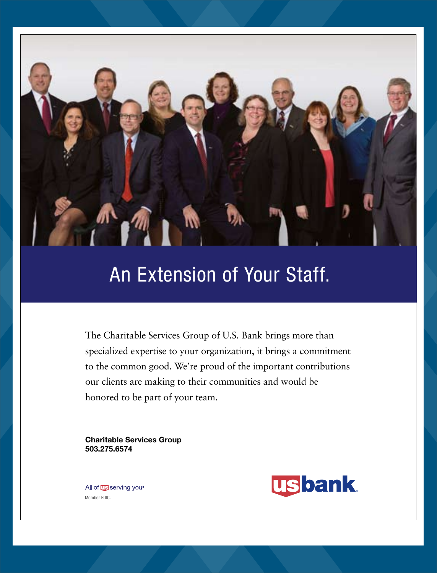

### An Extension of Your Staff.

The Charitable Services Group of U.S. Bank brings more than specialized expertise to your organization, it brings a commitment to the common good. We're proud of the important contributions our clients are making to their communities and would be honored to be part of your team.

Charitable Services Group 503.275.6574

**usbank** 

All of **US** serving you<sup>®</sup> Member FDIC.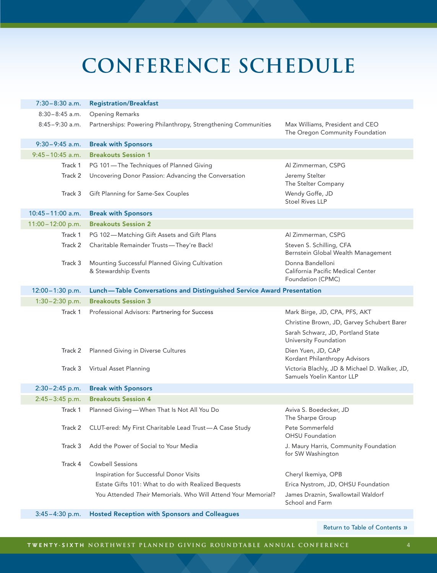# <span id="page-3-0"></span>**conference schedule**

| $7:30-8:30$ a.m.     | <b>Registration/Breakfast</b>                                          |                                                                                                                                           |  |
|----------------------|------------------------------------------------------------------------|-------------------------------------------------------------------------------------------------------------------------------------------|--|
| $8:30-8:45$ a.m.     | <b>Opening Remarks</b>                                                 |                                                                                                                                           |  |
| $8:45-9:30$ a.m.     | Partnerships: Powering Philanthropy, Strengthening Communities         | Max Williams, President and CEO<br>The Oregon Community Foundation                                                                        |  |
| $9:30-9:45$ a.m.     | <b>Break with Sponsors</b>                                             |                                                                                                                                           |  |
| $9:45 - 10:45$ a.m.  | <b>Breakouts Session 1</b>                                             |                                                                                                                                           |  |
| Track 1              | PG 101-The Techniques of Planned Giving                                | Al Zimmerman, CSPG                                                                                                                        |  |
| Track 2              | Uncovering Donor Passion: Advancing the Conversation                   | Jeremy Stelter<br>The Stelter Company                                                                                                     |  |
| Track 3              | Gift Planning for Same-Sex Couples                                     | Wendy Goffe, JD<br><b>Stoel Rives LLP</b>                                                                                                 |  |
| $10:45 - 11:00$ a.m. | <b>Break with Sponsors</b>                                             |                                                                                                                                           |  |
| $11:00 - 12:00$ p.m. | <b>Breakouts Session 2</b>                                             |                                                                                                                                           |  |
| Track 1              | PG 102-Matching Gift Assets and Gift Plans                             | Al Zimmerman, CSPG                                                                                                                        |  |
| Track 2              | Charitable Remainder Trusts-They're Back!                              | Steven S. Schilling, CFA<br>Bernstein Global Wealth Management                                                                            |  |
| Track 3              | Mounting Successful Planned Giving Cultivation<br>& Stewardship Events | Donna Bandelloni<br>California Pacific Medical Center<br>Foundation (CPMC)                                                                |  |
| $12:00 - 1:30$ p.m.  | Lunch-Table Conversations and Distinguished Service Award Presentation |                                                                                                                                           |  |
| $1:30 - 2:30$ p.m.   | <b>Breakouts Session 3</b>                                             |                                                                                                                                           |  |
| Track 1              | Professional Advisors: Partnering for Success                          | Mark Birge, JD, CPA, PFS, AKT<br>Christine Brown, JD, Garvey Schubert Barer<br>Sarah Schwarz, JD, Portland State<br>University Foundation |  |
| Track 2              | Planned Giving in Diverse Cultures                                     | Dien Yuen, JD, CAP<br>Kordant Philanthropy Advisors                                                                                       |  |
| Track 3              | Virtual Asset Planning                                                 | Victoria Blachly, JD & Michael D. Walker, JD,<br>Samuels Yoelin Kantor LLP                                                                |  |
| $2:30-2:45$ p.m.     | <b>Break with Sponsors</b>                                             |                                                                                                                                           |  |
| $2:45 - 3:45$ p.m.   | <b>Breakouts Session 4</b>                                             |                                                                                                                                           |  |
| Track 1              | Planned Giving-When That Is Not All You Do                             | Aviva S. Boedecker, JD<br>The Sharpe Group                                                                                                |  |
| Track 2              | CLUT-ered: My First Charitable Lead Trust-A Case Study                 | Pete Sommerfeld<br><b>OHSU</b> Foundation                                                                                                 |  |
| Track 3              | Add the Power of Social to Your Media                                  | J. Maury Harris, Community Foundation<br>for SW Washington                                                                                |  |
| Track 4              | <b>Cowbell Sessions</b>                                                |                                                                                                                                           |  |
|                      | Inspiration for Successful Donor Visits                                | Cheryl Ikemiya, OPB                                                                                                                       |  |
|                      | Estate Gifts 101: What to do with Realized Bequests                    | Erica Nystrom, JD, OHSU Foundation                                                                                                        |  |
|                      | You Attended Their Memorials, Who Will Attend Your Memorial?           | James Draznin, Swallowtail Waldorf<br>School and Farm                                                                                     |  |
| $3:45 - 4:30$ p.m.   | <b>Hosted Reception with Sponsors and Colleagues</b>                   |                                                                                                                                           |  |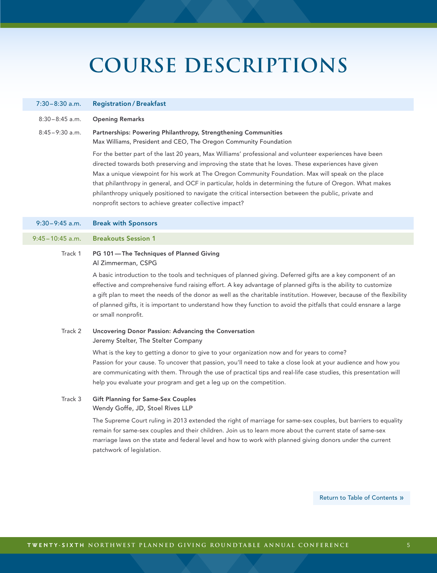#### <span id="page-4-0"></span>7:30–8:30 a.m. Registration / Breakfast

- 8:30 8:45 a.m. Opening Remarks
- 8:45 9:30 a.m. Partnerships: Powering Philanthropy, Strengthening Communities Max Williams, President and CEO, The Oregon Community Foundation

For the better part of the last 20 years, Max Williams' professional and volunteer experiences have been directed towards both preserving and improving the state that he loves. These experiences have given Max a unique viewpoint for his work at The Oregon Community Foundation. Max will speak on the place that philanthropy in general, and OCF in particular, holds in determining the future of Oregon. What makes philanthropy uniquely positioned to navigate the critical intersection between the public, private and nonprofit sectors to achieve greater collective impact?

9:30–9:45 a.m. Break with Sponsors

### 9:45–10:45 a.m. Breakouts Session 1

### Track 1 PG 101—The Techniques of Planned Giving Al Zimmerman, CSPG

A basic introduction to the tools and techniques of planned giving. Deferred gifts are a key component of an effective and comprehensive fund raising effort. A key advantage of planned gifts is the ability to customize a gift plan to meet the needs of the donor as well as the charitable institution. However, because of the flexibility of planned gifts, it is important to understand how they function to avoid the pitfalls that could ensnare a large or small nonprofit.

### Track 2 Uncovering Donor Passion: Advancing the Conversation Jeremy Stelter, The Stelter Company

What is the key to getting a donor to give to your organization now and for years to come? Passion for your cause. To uncover that passion, you'll need to take a close look at your audience and how you are communicating with them. Through the use of practical tips and real-life case studies, this presentation will help you evaluate your program and get a leg up on the competition.

### Track 3 Gift Planning for Same-Sex Couples Wendy Goffe, JD, Stoel Rives LLP

The Supreme Court ruling in 2013 extended the right of marriage for same-sex couples, but barriers to equality remain for same-sex couples and their children. Join us to learn more about the current state of same-sex marriage laws on the state and federal level and how to work with planned giving donors under the current patchwork of legislation.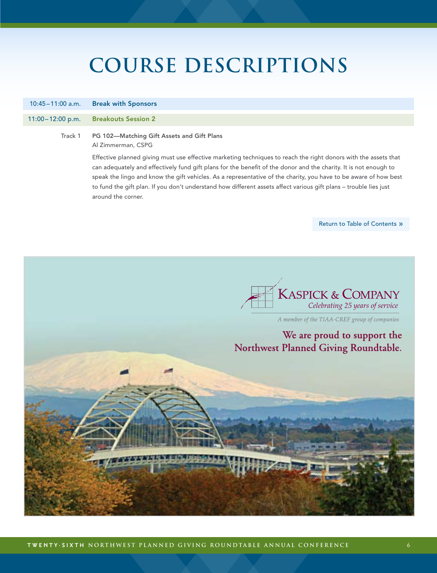10:45–11:00 a.m. Break with Sponsors

### 11:00–12:00 p.m. Breakouts Session 2

### Track 1 PG 102—Matching Gift Assets and Gift Plans Al Zimmerman, CSPG

Effective planned giving must use effective marketing techniques to reach the right donors with the assets that can adequately and effectively fund gift plans for the benefit of the donor and the charity. It is not enough to speak the lingo and know the gift vehicles. As a representative of the charity, you have to be aware of how best to fund the gift plan. If you don't understand how different assets affect various gift plans – trouble lies just around the corner.

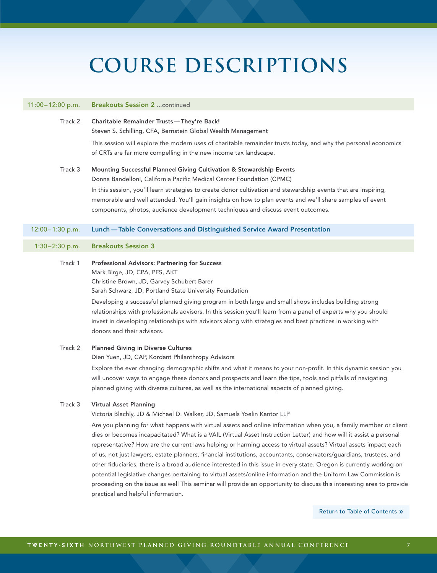#### 11:00–12:00 p.m. Breakouts Session 2 ...continued

- Track 2 Charitable Remainder Trusts—They're Back! Steven S. Schilling, CFA, Bernstein Global Wealth Management This session will explore the modern uses of charitable remainder trusts today, and why the personal economics of CRTs are far more compelling in the new income tax landscape.
- Track 3 Mounting Successful Planned Giving Cultivation & Stewardship Events Donna Bandelloni, California Pacific Medical Center Foundation (CPMC) In this session, you'll learn strategies to create donor cultivation and stewardship events that are inspiring, memorable and well attended. You'll gain insights on how to plan events and we'll share samples of event components, photos, audience development techniques and discuss event outcomes.

### 12:00–1:30 p.m. Lunch—Table Conversations and Distinguished Service Award Presentation

### 1:30–2:30 p.m. Breakouts Session 3

Track 1 Professional Advisors: Partnering for Success Mark Birge, JD, CPA, PFS, AKT Christine Brown, JD, Garvey Schubert Barer

Sarah Schwarz, JD, Portland State University Foundation Developing a successful planned giving program in both large and small shops includes building strong

relationships with professionals advisors. In this session you'll learn from a panel of experts why you should invest in developing relationships with advisors along with strategies and best practices in working with donors and their advisors.

Track 2 Planned Giving in Diverse Cultures

Dien Yuen, JD, CAP, Kordant Philanthropy Advisors

Explore the ever changing demographic shifts and what it means to your non-profit. In this dynamic session you will uncover ways to engage these donors and prospects and learn the tips, tools and pitfalls of navigating planned giving with diverse cultures, as well as the international aspects of planned giving.

### Track 3 Virtual Asset Planning

Victoria Blachly, JD & Michael D. Walker, JD, Samuels Yoelin Kantor LLP

Are you planning for what happens with virtual assets and online information when you, a family member or client dies or becomes incapacitated? What is a VAIL (Virtual Asset Instruction Letter) and how will it assist a personal representative? How are the current laws helping or harming access to virtual assets? Virtual assets impact each of us, not just lawyers, estate planners, financial institutions, accountants, conservators/guardians, trustees, and other fiduciaries; there is a broad audience interested in this issue in every state. Oregon is currently working on potential legislative changes pertaining to virtual assets/online information and the Uniform Law Commission is proceeding on the issue as well This seminar will provide an opportunity to discuss this interesting area to provide practical and helpful information.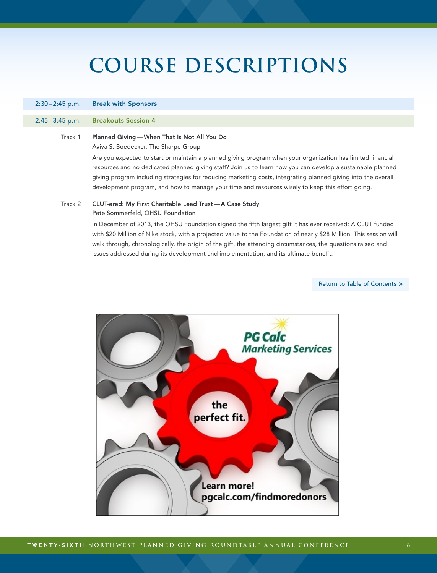### 2:30–2:45 p.m. Break with Sponsors

#### 2:45–3:45 p.m. Breakouts Session 4

### Track 1 Planned Giving—When That Is Not All You Do Aviva S. Boedecker, The Sharpe Group

Are you expected to start or maintain a planned giving program when your organization has limited financial resources and no dedicated planned giving staff? Join us to learn how you can develop a sustainable planned giving program including strategies for reducing marketing costs, integrating planned giving into the overall development program, and how to manage your time and resources wisely to keep this effort going.

### Track 2 CLUT-ered: My First Charitable Lead Trust—A Case Study Pete Sommerfeld, OHSU Foundation

In December of 2013, the OHSU Foundation signed the fifth largest gift it has ever received: A CLUT funded with \$20 Million of Nike stock, with a projected value to the Foundation of nearly \$28 Million. This session will walk through, chronologically, the origin of the gift, the attending circumstances, the questions raised and issues addressed during its development and implementation, and its ultimate benefit.

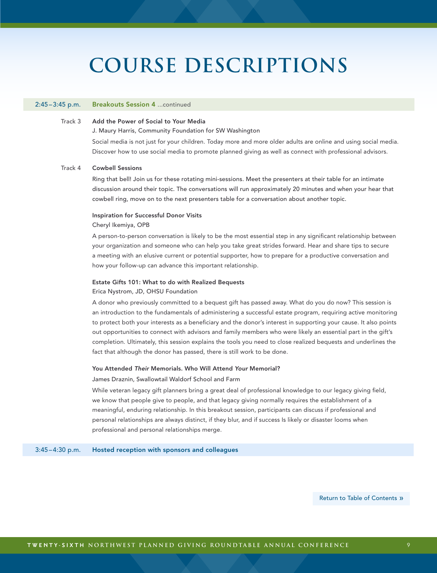#### 2:45–3:45 p.m. Breakouts Session 4 ...continued

### Track 3 Add the Power of Social to Your Media

J. Maury Harris, Community Foundation for SW Washington

Social media is not just for your children. Today more and more older adults are online and using social media. Discover how to use social media to promote planned giving as well as connect with professional advisors.

### Track 4 Cowbell Sessions

Ring that bell! Join us for these rotating mini-sessions. Meet the presenters at their table for an intimate discussion around their topic. The conversations will run approximately 20 minutes and when your hear that cowbell ring, move on to the next presenters table for a conversation about another topic.

#### Inspiration for Successful Donor Visits

#### Cheryl Ikemiya, OPB

A person-to-person conversation is likely to be the most essential step in any significant relationship between your organization and someone who can help you take great strides forward. Hear and share tips to secure a meeting with an elusive current or potential supporter, how to prepare for a productive conversation and how your follow-up can advance this important relationship.

#### Estate Gifts 101: What to do with Realized Bequests

#### Erica Nystrom, JD, OHSU Foundation

A donor who previously committed to a bequest gift has passed away. What do you do now? This session is an introduction to the fundamentals of administering a successful estate program, requiring active monitoring to protect both your interests as a beneficiary and the donor's interest in supporting your cause. It also points out opportunities to connect with advisors and family members who were likely an essential part in the gift's completion. Ultimately, this session explains the tools you need to close realized bequests and underlines the fact that although the donor has passed, there is still work to be done.

#### You Attended *Their* Memorials. Who Will Attend *Your* Memorial?

#### James Draznin, Swallowtail Waldorf School and Farm

While veteran legacy gift planners bring a great deal of professional knowledge to our legacy giving field, we know that people give to people, and that legacy giving normally requires the establishment of a meaningful, enduring relationship. In this breakout session, participants can discuss if professional and personal relationships are always distinct, if they blur, and if success Is likely or disaster looms when professional and personal relationships merge.

3:45–4:30 p.m. Hosted reception with sponsors and colleagues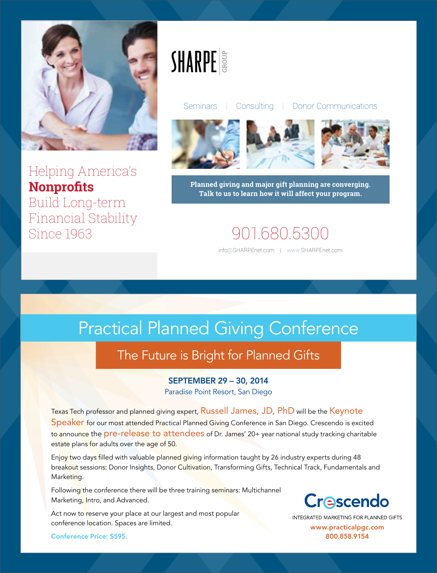

Helping America's **Nonprofits Build Long-term Financial Stability** Since 1963

# **SHARPE**

Consulting | Donor Communications Seminars |







Planned giving and major gift planning are converging. Talk to us to learn how it will affect your program.

### 901.680.5300

info@SHARPEnet.com | www.SHARPEnet.com

### **Practical Planned Giving Conference**

### The Future is Bright for Planned Gifts

### **SEPTEMBER 29 - 30, 2014**

Paradise Point Resort, San Diego

Texas Tech professor and planned giving expert, Russell James, JD, PhD will be the Keynote Speaker for our most attended Practical Planned Giving Conference in San Diego. Crescendo is excited to announce the pre-release to attendees of Dr. James' 20+ year national study tracking charitable estate plans for adults over the age of 50.

Enjoy two days filled with valuable planned giving information taught by 26 industry experts during 48 breakout sessions: Donor Insights, Donor Cultivation, Transforming Gifts, Technical Track, Fundamentals and Marketing.

Following the conference there will be three training seminars: Multichannel Marketing, Intro, and Advanced.

Act now to reserve your place at our largest and most popular conference location. Spaces are limited.

**Conference Price: \$595.** 

### Crescendo

INTEGRATED MARKETING FOR PLANNED GIFTS www.practicalpgc.com 800.858.9154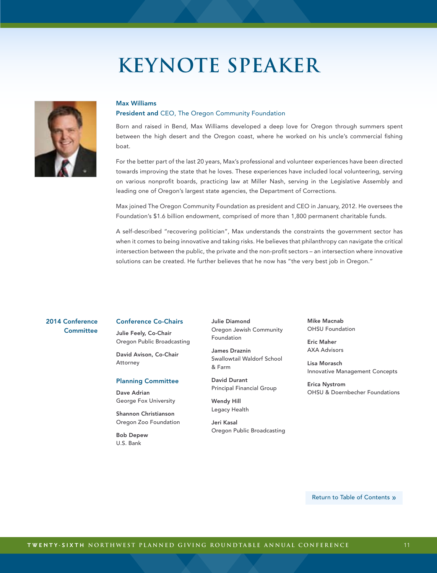### **Keynote Speaker**

<span id="page-10-0"></span>

### Max Williams President and CEO, The Oregon Community Foundation

Born and raised in Bend, Max Williams developed a deep love for Oregon through summers spent between the high desert and the Oregon coast, where he worked on his uncle's commercial fishing boat.

For the better part of the last 20 years, Max's professional and volunteer experiences have been directed towards improving the state that he loves. These experiences have included local volunteering, serving on various nonprofit boards, practicing law at Miller Nash, serving in the Legislative Assembly and leading one of Oregon's largest state agencies, the Department of Corrections.

Max joined The Oregon Community Foundation as president and CEO in January, 2012. He oversees the Foundation's \$1.6 billion endowment, comprised of more than 1,800 permanent charitable funds.

A self-described "recovering politician", Max understands the constraints the government sector has when it comes to being innovative and taking risks. He believes that philanthropy can navigate the critical intersection between the public, the private and the non-profit sectors – an intersection where innovative solutions can be created. He further believes that he now has "the very best job in Oregon."

### 2014 Conference **Committee**

#### Conference Co-Chairs

Julie Feely, Co-Chair Oregon Public Broadcasting

David Avison, Co-Chair Attorney

### Planning Committee

Dave Adrian George Fox University

Shannon Christianson Oregon Zoo Foundation

Bob Depew U.S. Bank

Julie Diamond Oregon Jewish Community Foundation

James Draznin Swallowtail Waldorf School & Farm

David Durant Principal Financial Group

Wendy Hill Legacy Health

Jeri Kasal Oregon Public Broadcasting Mike Macnab OHSU Foundation

Eric Maher AXA Advisors

Lisa Morasch Innovative Management Concepts

Erica Nystrom OHSU & Doernbecher Foundations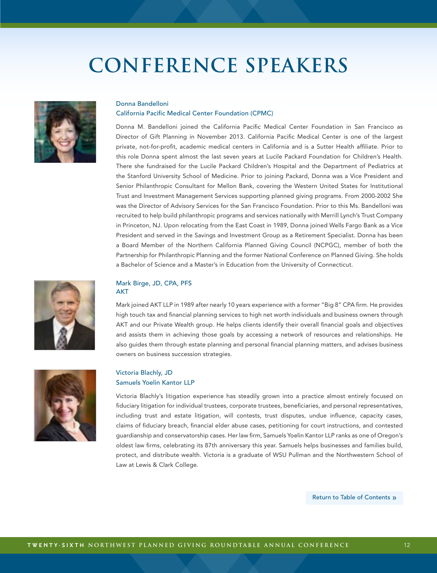<span id="page-11-0"></span>

### Donna Bandelloni

#### California Pacific Medical Center Foundation (CPMC)

Donna M. Bandelloni joined the California Pacific Medical Center Foundation in San Francisco as Director of Gift Planning in November 2013. California Pacific Medical Center is one of the largest private, not-for-profit, academic medical centers in California and is a Sutter Health affiliate. Prior to this role Donna spent almost the last seven years at Lucile Packard Foundation for Children's Health. There she fundraised for the Lucile Packard Children's Hospital and the Department of Pediatrics at the Stanford University School of Medicine. Prior to joining Packard, Donna was a Vice President and Senior Philanthropic Consultant for Mellon Bank, covering the Western United States for Institutional Trust and Investment Management Services supporting planned giving programs. From 2000-2002 She was the Director of Advisory Services for the San Francisco Foundation. Prior to this Ms. Bandelloni was recruited to help build philanthropic programs and services nationally with Merrill Lynch's Trust Company in Princeton, NJ. Upon relocating from the East Coast in 1989, Donna joined Wells Fargo Bank as a Vice President and served in the Savings and Investment Group as a Retirement Specialist. Donna has been a Board Member of the Northern California Planned Giving Council (NCPGC), member of both the Partnership for Philanthropic Planning and the former National Conference on Planned Giving. She holds a Bachelor of Science and a Master's in Education from the University of Connecticut.





#### Mark Birge, JD, CPA, PFS AKT

Mark joined AKT LLP in 1989 after nearly 10 years experience with a former "Big 8" CPA firm. He provides high touch tax and financial planning services to high net worth individuals and business owners through AKT and our Private Wealth group. He helps clients identify their overall financial goals and objectives and assists them in achieving those goals by accessing a network of resources and relationships. He also guides them through estate planning and personal financial planning matters, and advises business owners on business succession strategies.

### Victoria Blachly, JD Samuels Yoelin Kantor LLP

Victoria Blachly's litigation experience has steadily grown into a practice almost entirely focused on fiduciary litigation for individual trustees, corporate trustees, beneficiaries, and personal representatives, including trust and estate litigation, will contests, trust disputes, undue influence, capacity cases, claims of fiduciary breach, financial elder abuse cases, petitioning for court instructions, and contested guardianship and conservatorship cases. Her law firm, Samuels Yoelin Kantor LLP ranks as one of Oregon's oldest law firms, celebrating its 87th anniversary this year. Samuels helps businesses and families build, protect, and distribute wealth. Victoria is a graduate of WSU Pullman and the Northwestern School of Law at Lewis & Clark College.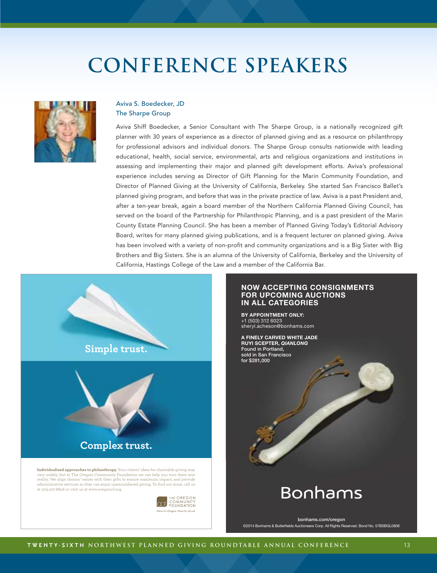

### Aviva S. Boedecker, JD The Sharpe Group

Aviva Shiff Boedecker, a Senior Consultant with The Sharpe Group, is a nationally recognized gift planner with 30 years of experience as a director of planned giving and as a resource on philanthropy for professional advisors and individual donors. The Sharpe Group consults nationwide with leading educational, health, social service, environmental, arts and religious organizations and institutions in assessing and implementing their major and planned gift development efforts. Aviva's professional experience includes serving as Director of Gift Planning for the Marin Community Foundation, and Director of Planned Giving at the University of California, Berkeley. She started San Francisco Ballet's planned giving program, and before that was in the private practice of law. Aviva is a past President and, after a ten-year break, again a board member of the Northern California Planned Giving Council, has served on the board of the Partnership for Philanthropic Planning, and is a past president of the Marin County Estate Planning Council. She has been a member of Planned Giving Today's Editorial Advisory Board, writes for many planned giving publications, and is a frequent lecturer on planned giving. Aviva has been involved with a variety of non-profit and community organizations and is a Big Sister with Big Brothers and Big Sisters. She is an alumna of the University of California, Berkeley and the University of California, Hastings College of the Law and a member of the California Bar.



#### **NOW ACCEPTING CONSIGNMENTS FOR UPCOMING AUCTIONS IN ALL CATEGORIES**

**BY APPOINTMENT ONLY:** +1 (503) 312 6023 sheryl.acheson@bonhams.com

#### **A FINELY CARVED WHITE JADE RUYI SCEPTER,** *QIANLONG* Found in Portland, sold in San Francisco for \$281,000

### **Bonhams**

bonhams.com/oregon ©2014 Bonhams & Butterfields Auctioneers Corp. All Rights Reserved. Bond No. 57BSBGL0808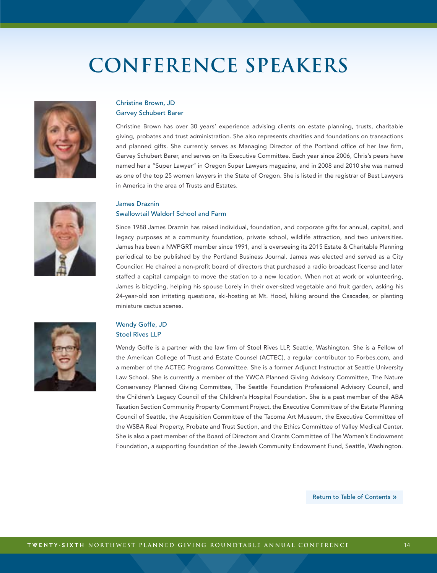

### Christine Brown, JD Garvey Schubert Barer

Christine Brown has over 30 years' experience advising clients on estate planning, trusts, charitable giving, probates and trust administration. She also represents charities and foundations on transactions and planned gifts. She currently serves as Managing Director of the Portland office of her law firm, Garvey Schubert Barer, and serves on its Executive Committee. Each year since 2006, Chris's peers have named her a "Super Lawyer" in Oregon Super Lawyers magazine, and in 2008 and 2010 she was named as one of the top 25 women lawyers in the State of Oregon. She is listed in the registrar of Best Lawyers in America in the area of Trusts and Estates.

### James Draznin Swallowtail Waldorf School and Farm

Since 1988 James Draznin has raised individual, foundation, and corporate gifts for annual, capital, and legacy purposes at a community foundation, private school, wildlife attraction, and two universities. James has been a NWPGRT member since 1991, and is overseeing its 2015 Estate & Charitable Planning periodical to be published by the Portland Business Journal. James was elected and served as a City Councilor. He chaired a non-profit board of directors that purchased a radio broadcast license and later staffed a capital campaign to move the station to a new location. When not at work or volunteering, James is bicycling, helping his spouse Lorely in their over-sized vegetable and fruit garden, asking his 24-year-old son irritating questions, ski-hosting at Mt. Hood, hiking around the Cascades, or planting miniature cactus scenes.



### Wendy Goffe, JD Stoel Rives LLP

Wendy Goffe is a partner with the law firm of Stoel Rives LLP, Seattle, Washington. She is a Fellow of the American College of Trust and Estate Counsel (ACTEC), a regular contributor to Forbes.com, and a member of the ACTEC Programs Committee. She is a former Adjunct Instructor at Seattle University Law School. She is currently a member of the YWCA Planned Giving Advisory Committee, The Nature Conservancy Planned Giving Committee, The Seattle Foundation Professional Advisory Council, and the Children's Legacy Council of the Children's Hospital Foundation. She is a past member of the ABA Taxation Section Community Property Comment Project, the Executive Committee of the Estate Planning Council of Seattle, the Acquisition Committee of the Tacoma Art Museum, the Executive Committee of the WSBA Real Property, Probate and Trust Section, and the Ethics Committee of Valley Medical Center. She is also a past member of the Board of Directors and Grants Committee of The Women's Endowment Foundation, a supporting foundation of the Jewish Community Endowment Fund, Seattle, Washington.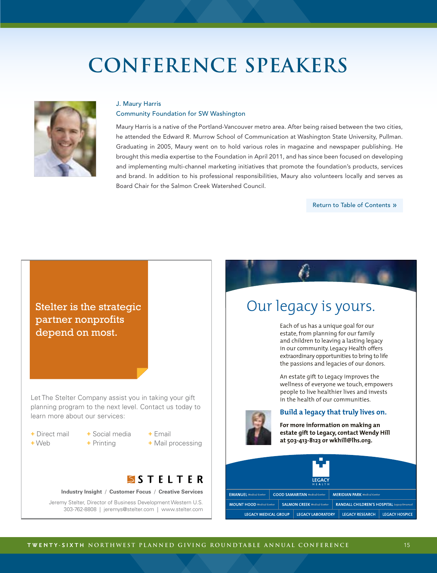

#### J. Maury Harris

#### Community Foundation for SW Washington

Maury Harris is a native of the Portland-Vancouver metro area. After being raised between the two cities, he attended the Edward R. Murrow School of Communication at Washington State University, Pullman. Graduating in 2005, Maury went on to hold various roles in magazine and newspaper publishing. He brought this media expertise to the Foundation in April 2011, and has since been focused on developing and implementing multi-channel marketing initiatives that promote the foundation's products, services and brand. In addition to his professional responsibilities, Maury also volunteers locally and serves as Board Chair for the Salmon Creek Watershed Council.

[Return to Table of Contents](#page-1-0) »



Stelter Ad-V2.indd 1 7/24/14 11:28 AM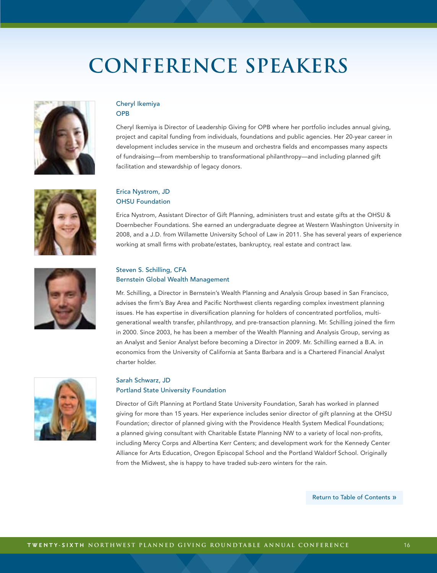



### Cheryl Ikemiya **OPB**

Cheryl Ikemiya is Director of Leadership Giving for OPB where her portfolio includes annual giving, project and capital funding from individuals, foundations and public agencies. Her 20-year career in development includes service in the museum and orchestra fields and encompasses many aspects of fundraising—from membership to transformational philanthropy—and including planned gift facilitation and stewardship of legacy donors.

### Erica Nystrom, JD OHSU Foundation

Erica Nystrom, Assistant Director of Gift Planning, administers trust and estate gifts at the OHSU & Doernbecher Foundations. She earned an undergraduate degree at Western Washington University in 2008, and a J.D. from Willamette University School of Law in 2011. She has several years of experience working at small firms with probate/estates, bankruptcy, real estate and contract law.



### Steven S. Schilling, CFA Bernstein Global Wealth Management

Mr. Schilling, a Director in Bernstein's Wealth Planning and Analysis Group based in San Francisco, advises the firm's Bay Area and Pacific Northwest clients regarding complex investment planning issues. He has expertise in diversification planning for holders of concentrated portfolios, multigenerational wealth transfer, philanthropy, and pre-transaction planning. Mr. Schilling joined the firm in 2000. Since 2003, he has been a member of the Wealth Planning and Analysis Group, serving as an Analyst and Senior Analyst before becoming a Director in 2009. Mr. Schilling earned a B.A. in economics from the University of California at Santa Barbara and is a Chartered Financial Analyst charter holder.



### Sarah Schwarz, JD

### Portland State University Foundation

Director of Gift Planning at Portland State University Foundation, Sarah has worked in planned giving for more than 15 years. Her experience includes senior director of gift planning at the OHSU Foundation; director of planned giving with the Providence Health System Medical Foundations; a planned giving consultant with Charitable Estate Planning NW to a variety of local non-profits, including Mercy Corps and Albertina Kerr Centers; and development work for the Kennedy Center Alliance for Arts Education, Oregon Episcopal School and the Portland Waldorf School. Originally from the Midwest, she is happy to have traded sub-zero winters for the rain.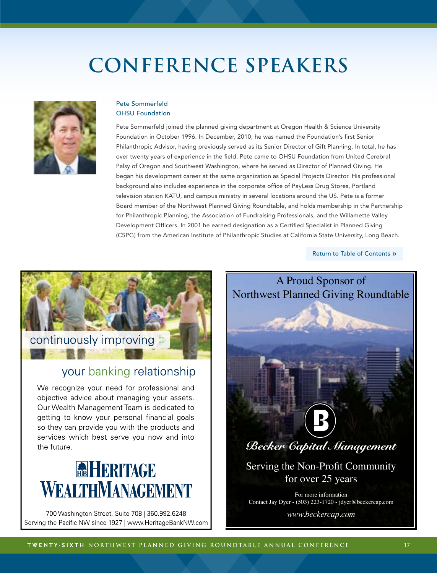

### Pete Sommerfeld OHSU Foundation

Pete Sommerfeld joined the planned giving department at Oregon Health & Science University Foundation in October 1996. In December, 2010, he was named the Foundation's first Senior Philanthropic Advisor, having previously served as its Senior Director of Gift Planning. In total, he has over twenty years of experience in the field. Pete came to OHSU Foundation from United Cerebral Palsy of Oregon and Southwest Washington, where he served as Director of Planned Giving. He began his development career at the same organization as Special Projects Director. His professional background also includes experience in the corporate office of PayLess Drug Stores, Portland television station KATU, and campus ministry in several locations around the US. Pete is a former Board member of the Northwest Planned Giving Roundtable, and holds membership in the Partnership for Philanthropic Planning, the Association of Fundraising Professionals, and the Willamette Valley Development Officers. In 2001 he earned designation as a Certified Specialist in Planned Giving (CSPG) from the American Institute of Philanthropic Studies at California State University, Long Beach.

[Return to Table of Contents](#page-1-0) »



### your banking relationship

We recognize your need for professional and objective advice about managing your assets. Our Wealth Management Team is dedicated to getting to know your personal financial goals so they can provide you with the products and services which best serve you now and into the future.

### **REHERITAGE** WEALTHMANAGEMENT

700 Washington Street, Suite 708 | 360.992.6248 Serving the Pacific NW since 1927 | www.HeritageBankNW.com



For more information Contact Jay Dyer - (503) 223-1720 - jdyer@beckercap.com *www.beckercap.com*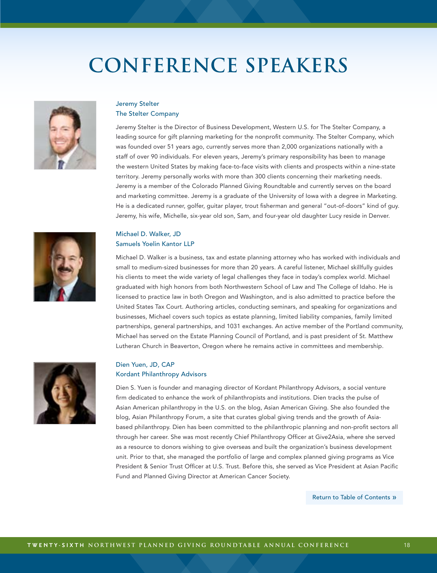

### Jeremy Stelter The Stelter Company

Jeremy Stelter is the Director of Business Development, Western U.S. for The Stelter Company, a leading source for gift planning marketing for the nonprofit community. The Stelter Company, which was founded over 51 years ago, currently serves more than 2,000 organizations nationally with a staff of over 90 individuals. For eleven years, Jeremy's primary responsibility has been to manage the western United States by making face-to-face visits with clients and prospects within a nine-state territory. Jeremy personally works with more than 300 clients concerning their marketing needs. Jeremy is a member of the Colorado Planned Giving Roundtable and currently serves on the board and marketing committee. Jeremy is a graduate of the University of Iowa with a degree in Marketing. He is a dedicated runner, golfer, guitar player, trout fisherman and general "out-of-doors" kind of guy. Jeremy, his wife, Michelle, six-year old son, Sam, and four-year old daughter Lucy reside in Denver.



### Michael D. Walker, JD Samuels Yoelin Kantor LLP

Michael D. Walker is a business, tax and estate planning attorney who has worked with individuals and small to medium-sized businesses for more than 20 years. A careful listener, Michael skillfully guides his clients to meet the wide variety of legal challenges they face in today's complex world. Michael graduated with high honors from both Northwestern School of Law and The College of Idaho. He is licensed to practice law in both Oregon and Washington, and is also admitted to practice before the United States Tax Court. Authoring articles, conducting seminars, and speaking for organizations and businesses, Michael covers such topics as estate planning, limited liability companies, family limited partnerships, general partnerships, and 1031 exchanges. An active member of the Portland community, Michael has served on the Estate Planning Council of Portland, and is past president of St. Matthew Lutheran Church in Beaverton, Oregon where he remains active in committees and membership.



### Dien Yuen, JD, CAP Kordant Philanthropy Advisors

Dien S. Yuen is founder and managing director of Kordant Philanthropy Advisors, a social venture firm dedicated to enhance the work of philanthropists and institutions. Dien tracks the pulse of Asian American philanthropy in the U.S. on the blog, Asian American Giving. She also founded the blog, Asian Philanthropy Forum, a site that curates global giving trends and the growth of Asiabased philanthropy. Dien has been committed to the philanthropic planning and non-profit sectors all through her career. She was most recently Chief Philanthropy Officer at Give2Asia, where she served as a resource to donors wishing to give overseas and built the organization's business development unit. Prior to that, she managed the portfolio of large and complex planned giving programs as Vice President & Senior Trust Officer at U.S. Trust. Before this, she served as Vice President at Asian Pacific Fund and Planned Giving Director at American Cancer Society.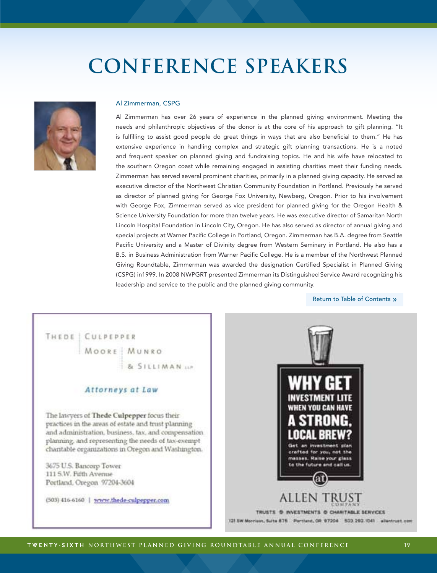

#### Al Zimmerman, CSPG

Al Zimmerman has over 26 years of experience in the planned giving environment. Meeting the needs and philanthropic objectives of the donor is at the core of his approach to gift planning. "It is fulfilling to assist good people do great things in ways that are also beneficial to them." He has extensive experience in handling complex and strategic gift planning transactions. He is a noted and frequent speaker on planned giving and fundraising topics. He and his wife have relocated to the southern Oregon coast while remaining engaged in assisting charities meet their funding needs. Zimmerman has served several prominent charities, primarily in a planned giving capacity. He served as executive director of the Northwest Christian Community Foundation in Portland. Previously he served as director of planned giving for George Fox University, Newberg, Oregon. Prior to his involvement with George Fox, Zimmerman served as vice president for planned giving for the Oregon Health & Science University Foundation for more than twelve years. He was executive director of Samaritan North Lincoln Hospital Foundation in Lincoln City, Oregon. He has also served as director of annual giving and special projects at Warner Pacific College in Portland, Oregon. Zimmerman has B.A. degree from Seattle Pacific University and a Master of Divinity degree from Western Seminary in Portland. He also has a B.S. in Business Administration from Warner Pacific College. He is a member of the Northwest Planned Giving Roundtable, Zimmerman was awarded the designation Certified Specialist in Planned Giving (CSPG) in1999. In 2008 NWPGRT presented Zimmerman its Distinguished Service Award recognizing his leadership and service to the public and the planned giving community.

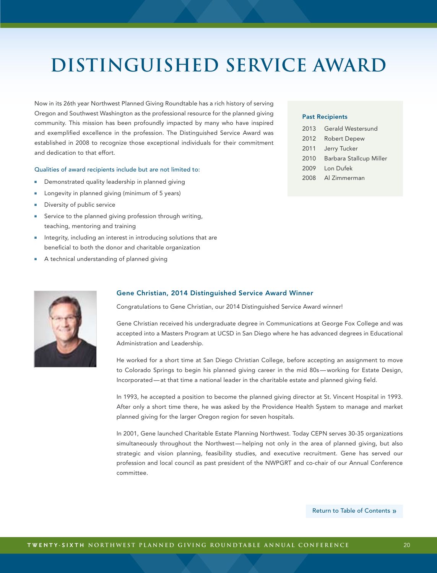### <span id="page-19-0"></span>**distinguished service award**

Now in its 26th year Northwest Planned Giving Roundtable has a rich history of serving Oregon and Southwest Washington as the professional resource for the planned giving community. This mission has been profoundly impacted by many who have inspired and exemplified excellence in the profession. The Distinguished Service Award was established in 2008 to recognize those exceptional individuals for their commitment and dedication to that effort.

#### Qualities of award recipients include but are not limited to:

- Demonstrated quality leadership in planned giving
- Longevity in planned giving (minimum of 5 years)
- Diversity of public service
- Service to the planned giving profession through writing, teaching, mentoring and training
- Integrity, including an interest in introducing solutions that are beneficial to both the donor and charitable organization
- A technical understanding of planned giving

### Past Recipients

|      | 2013 Gerald Westersund  |
|------|-------------------------|
| 2012 | <b>Robert Depew</b>     |
| 2011 | Jerry Tucker            |
| 2010 | Barbara Stallcup Miller |
|      | 2009 Lon Dufek          |
|      | 2008 Al Zimmerman       |



#### Gene Christian, 2014 Distinguished Service Award Winner

Congratulations to Gene Christian, our 2014 Distinguished Service Award winner!

Gene Christian received his undergraduate degree in Communications at George Fox College and was accepted into a Masters Program at UCSD in San Diego where he has advanced degrees in Educational Administration and Leadership.

He worked for a short time at San Diego Christian College, before accepting an assignment to move to Colorado Springs to begin his planned giving career in the mid 80s—working for Estate Design, Incorporated—at that time a national leader in the charitable estate and planned giving field.

In 1993, he accepted a position to become the planned giving director at St. Vincent Hospital in 1993. After only a short time there, he was asked by the Providence Health System to manage and market planned giving for the larger Oregon region for seven hospitals.

In 2001, Gene launched Charitable Estate Planning Northwest. Today CEPN serves 30-35 organizations simultaneously throughout the Northwest—helping not only in the area of planned giving, but also strategic and vision planning, feasibility studies, and executive recruitment. Gene has served our profession and local council as past president of the NWPGRT and co-chair of our Annual Conference committee.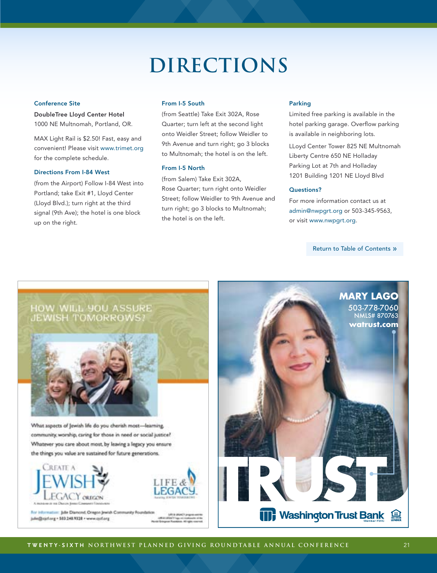### **DIRECTIONS**

#### <span id="page-20-0"></span>Conference Site

DoubleTree Lloyd Center Hotel 1000 NE Multnomah, Portland, OR.

MAX Light Rail is \$2.50! Fast, easy and convenient! Please visit www.trimet.org for the complete schedule.

#### Directions From I-84 West

(from the Airport) Follow I-84 West into Portland; take Exit #1, Lloyd Center (Lloyd Blvd.); turn right at the third signal (9th Ave); the hotel is one block up on the right.

#### From I-5 South

(from Seattle) Take Exit 302A, Rose Quarter; turn left at the second light onto Weidler Street; follow Weidler to 9th Avenue and turn right; go 3 blocks to Multnomah; the hotel is on the left.

### From I-5 North

(from Salem) Take Exit 302A, Rose Quarter; turn right onto Weidler Street; follow Weidler to 9th Avenue and turn right; go 3 blocks to Multnomah; the hotel is on the left.

### Parking

Limited free parking is available in the hotel parking garage. Overflow parking is available in neighboring lots.

LLoyd Center Tower 825 NE Multnomah Liberty Centre 650 NE Holladay Parking Lot at 7th and Holladay 1201 Building 1201 NE Lloyd Blvd

### Questions?

For more information contact us at admin@nwpgrt.org or 503-345-9563, or visit www.nwpgrt.org.

[Return to Table of Contents](#page-1-0) »



Whatever you care about most, by leaving a legacy you ensure the things you value are sustained for future generations.





For Information: Julie Diamond, Oregon Jewish Co. jule@ojclorg - 503.248.9328 - www.ojclorg 19914-01

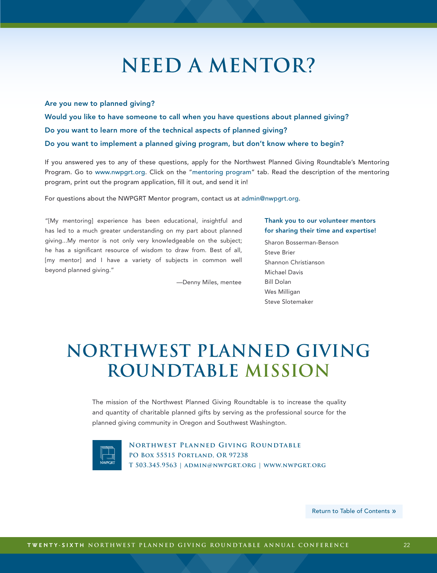## **need a mentor?**

### <span id="page-21-0"></span>Are you new to planned giving?

Would you like to have someone to call when you have questions about planned giving? Do you want to learn more of the technical aspects of planned giving? Do you want to implement a planned giving program, but don't know where to begin?

If you answered yes to any of these questions, apply for the Northwest Planned Giving Roundtable's Mentoring Program. Go to [www.nwpgrt.org](http://nwpgrt.org). Click on the ["mentoring program](http://nwpgrt.org/index.php?option=com_content&view=article&id=55&Itemid=61)" tab. Read the description of the mentoring program, print out the program application, fill it out, and send it in!

For questions about the NWPGRT Mentor program, contact us at admin@nwpgrt.org.

"[My mentoring] experience has been educational, insightful and has led to a much greater understanding on my part about planned giving...My mentor is not only very knowledgeable on the subject; he has a significant resource of wisdom to draw from. Best of all, [my mentor] and I have a variety of subjects in common well beyond planned giving."

—Denny Miles, mentee

### Thank you to our volunteer mentors for sharing their time and expertise!

Sharon Bosserman-Benson Steve Brier Shannon Christianson Michael Davis Bill Dolan Wes Milligan Steve Slotemaker

### **Northwest Planned Giving Roundtable mission**

The mission of the Northwest Planned Giving Roundtable is to increase the quality and quantity of charitable planned gifts by serving as the professional source for the planned giving community in Oregon and Southwest Washington.



**Northwest Planned Giving Roundtable PO Box 55515 Portland, OR 97238 T 503.345.9563 | admin@nwpgrt.org | [www.nwpgrt.org](http://www.nwpgrt.org/)**